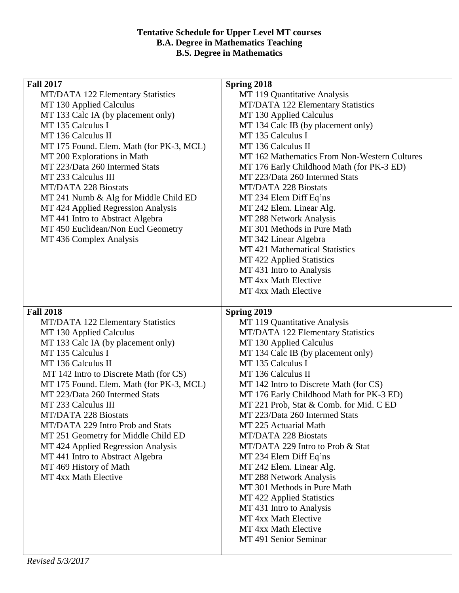## **Tentative Schedule for Upper Level MT courses B.A. Degree in Mathematics Teaching B.S. Degree in Mathematics**

| <b>Fall 2017</b>                         | Spring 2018                                  |
|------------------------------------------|----------------------------------------------|
| MT/DATA 122 Elementary Statistics        | MT 119 Quantitative Analysis                 |
| MT 130 Applied Calculus                  | MT/DATA 122 Elementary Statistics            |
| MT 133 Calc IA (by placement only)       | MT 130 Applied Calculus                      |
| MT 135 Calculus I                        | MT 134 Calc IB (by placement only)           |
| MT 136 Calculus II                       | MT 135 Calculus I                            |
| MT 175 Found. Elem. Math (for PK-3, MCL) | MT 136 Calculus II                           |
| MT 200 Explorations in Math              | MT 162 Mathematics From Non-Western Cultures |
| MT 223/Data 260 Intermed Stats           | MT 176 Early Childhood Math (for PK-3 ED)    |
| MT 233 Calculus III                      | MT 223/Data 260 Intermed Stats               |
| <b>MT/DATA 228 Biostats</b>              | <b>MT/DATA 228 Biostats</b>                  |
| MT 241 Numb & Alg for Middle Child ED    | MT 234 Elem Diff Eq'ns                       |
| MT 424 Applied Regression Analysis       | MT 242 Elem. Linear Alg.                     |
| MT 441 Intro to Abstract Algebra         | MT 288 Network Analysis                      |
| MT 450 Euclidean/Non Eucl Geometry       | MT 301 Methods in Pure Math                  |
| MT 436 Complex Analysis                  | MT 342 Linear Algebra                        |
|                                          | MT 421 Mathematical Statistics               |
|                                          | MT 422 Applied Statistics                    |
|                                          | MT 431 Intro to Analysis                     |
|                                          | MT 4xx Math Elective                         |
|                                          |                                              |
|                                          | MT 4xx Math Elective                         |
|                                          |                                              |
| <b>Fall 2018</b>                         | Spring 2019                                  |
| <b>MT/DATA 122 Elementary Statistics</b> | MT 119 Quantitative Analysis                 |
| MT 130 Applied Calculus                  | MT/DATA 122 Elementary Statistics            |
| MT 133 Calc IA (by placement only)       | MT 130 Applied Calculus                      |
| MT 135 Calculus I                        | MT 134 Calc IB (by placement only)           |
| MT 136 Calculus II                       | MT 135 Calculus I                            |
| MT 142 Intro to Discrete Math (for CS)   | MT 136 Calculus II                           |
| MT 175 Found. Elem. Math (for PK-3, MCL) | MT 142 Intro to Discrete Math (for CS)       |
| MT 223/Data 260 Intermed Stats           | MT 176 Early Childhood Math for PK-3 ED)     |
| MT 233 Calculus III                      | MT 221 Prob, Stat & Comb. for Mid. C ED      |
| MT/DATA 228 Biostats                     | MT 223/Data 260 Intermed Stats               |
| MT/DATA 229 Intro Prob and Stats         | MT 225 Actuarial Math                        |
| MT 251 Geometry for Middle Child ED      | <b>MT/DATA 228 Biostats</b>                  |
| MT 424 Applied Regression Analysis       | MT/DATA 229 Intro to Prob & Stat             |
| MT 441 Intro to Abstract Algebra         | MT 234 Elem Diff Eq'ns                       |
| MT 469 History of Math                   | MT 242 Elem. Linear Alg.                     |
| MT 4xx Math Elective                     | MT 288 Network Analysis                      |
|                                          | MT 301 Methods in Pure Math                  |
|                                          | MT 422 Applied Statistics                    |
|                                          | MT 431 Intro to Analysis                     |
|                                          | MT 4xx Math Elective                         |
|                                          | MT 4xx Math Elective                         |
|                                          | MT 491 Senior Seminar                        |
|                                          |                                              |
|                                          |                                              |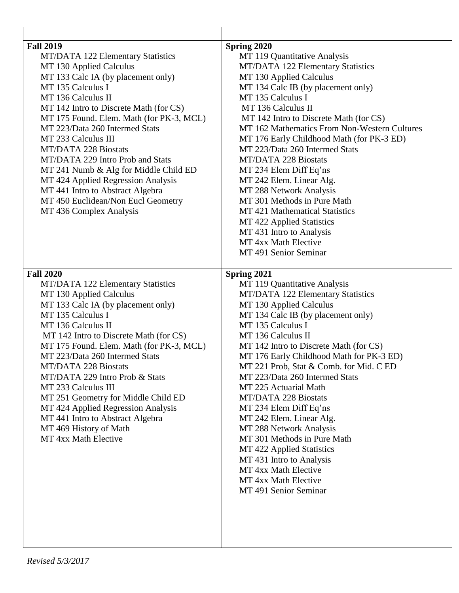| <b>Fall 2019</b><br>MT/DATA 122 Elementary Statistics<br>MT 130 Applied Calculus<br>MT 133 Calc IA (by placement only)<br>MT 135 Calculus I<br>MT 136 Calculus II<br>MT 142 Intro to Discrete Math (for CS)<br>MT 175 Found. Elem. Math (for PK-3, MCL)<br>MT 223/Data 260 Intermed Stats<br>MT 233 Calculus III<br><b>MT/DATA 228 Biostats</b><br>MT/DATA 229 Intro Prob and Stats<br>MT 241 Numb & Alg for Middle Child ED<br>MT 424 Applied Regression Analysis<br>MT 441 Intro to Abstract Algebra<br>MT 450 Euclidean/Non Eucl Geometry<br>MT 436 Complex Analysis | Spring 2020<br>MT 119 Quantitative Analysis<br>MT/DATA 122 Elementary Statistics<br>MT 130 Applied Calculus<br>MT 134 Calc IB (by placement only)<br>MT 135 Calculus I<br>MT 136 Calculus II<br>MT 142 Intro to Discrete Math (for CS)<br>MT 162 Mathematics From Non-Western Cultures<br>MT 176 Early Childhood Math (for PK-3 ED)<br>MT 223/Data 260 Intermed Stats<br><b>MT/DATA 228 Biostats</b><br>MT 234 Elem Diff Eq'ns<br>MT 242 Elem. Linear Alg.<br>MT 288 Network Analysis<br>MT 301 Methods in Pure Math<br>MT 421 Mathematical Statistics<br>MT 422 Applied Statistics<br>MT 431 Intro to Analysis<br>MT 4xx Math Elective<br>MT 491 Senior Seminar          |
|-------------------------------------------------------------------------------------------------------------------------------------------------------------------------------------------------------------------------------------------------------------------------------------------------------------------------------------------------------------------------------------------------------------------------------------------------------------------------------------------------------------------------------------------------------------------------|---------------------------------------------------------------------------------------------------------------------------------------------------------------------------------------------------------------------------------------------------------------------------------------------------------------------------------------------------------------------------------------------------------------------------------------------------------------------------------------------------------------------------------------------------------------------------------------------------------------------------------------------------------------------------|
| <b>Fall 2020</b><br>MT/DATA 122 Elementary Statistics<br>MT 130 Applied Calculus<br>MT 133 Calc IA (by placement only)<br>MT 135 Calculus I<br>MT 136 Calculus II<br>MT 142 Intro to Discrete Math (for CS)<br>MT 175 Found. Elem. Math (for PK-3, MCL)<br>MT 223/Data 260 Intermed Stats<br><b>MT/DATA 228 Biostats</b><br>MT/DATA 229 Intro Prob & Stats<br>MT 233 Calculus III<br>MT 251 Geometry for Middle Child ED<br>MT 424 Applied Regression Analysis<br>MT 441 Intro to Abstract Algebra<br>MT 469 History of Math<br>MT 4xx Math Elective                    | Spring 2021<br>MT 119 Quantitative Analysis<br>MT/DATA 122 Elementary Statistics<br>MT 130 Applied Calculus<br>MT 134 Calc IB (by placement only)<br>MT 135 Calculus I<br>MT 136 Calculus II<br>MT 142 Intro to Discrete Math (for CS)<br>MT 176 Early Childhood Math for PK-3 ED)<br>MT 221 Prob, Stat & Comb. for Mid. C ED<br>MT 223/Data 260 Intermed Stats<br>MT 225 Actuarial Math<br><b>MT/DATA 228 Biostats</b><br>MT 234 Elem Diff Eq'ns<br>MT 242 Elem. Linear Alg.<br>MT 288 Network Analysis<br>MT 301 Methods in Pure Math<br>MT 422 Applied Statistics<br>MT 431 Intro to Analysis<br>MT 4xx Math Elective<br>MT 4xx Math Elective<br>MT 491 Senior Seminar |